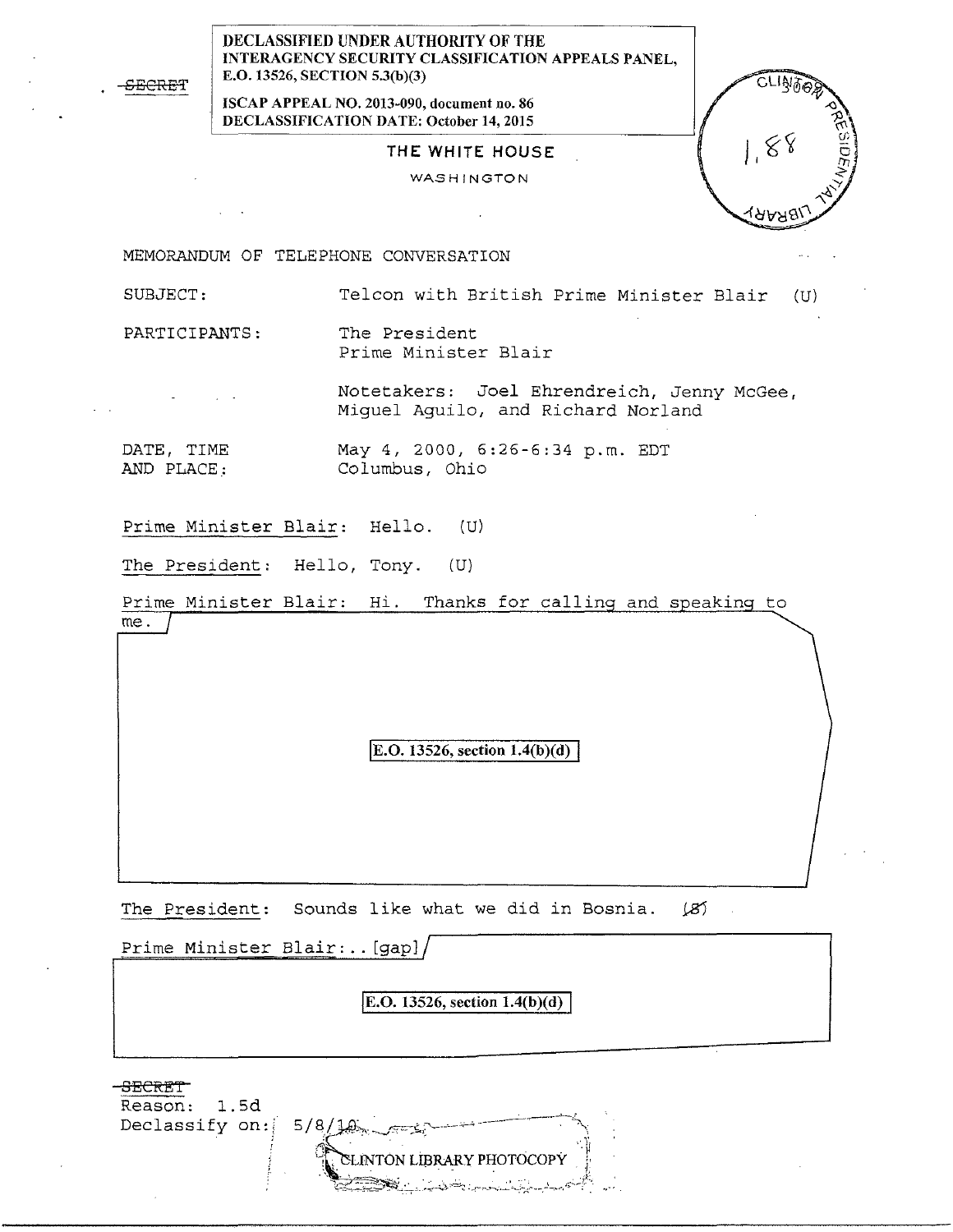SECRET

DECLASSIFIED UNDER AUTHORITY OF THE INTERAGENCY SECURITY CLASSIFICATION APPEALS PANEL, E.O. 13526, SECTION 5.3(b)(3)

ISCAP APPEAL NO. 2013-090, document no. 86 DECLASSIFICATION DATE: October 14, 2015

## THE WHITE HOUSE

WASHINGTON

ישל

MEMORANDUM OF TELEPHONE CONVERSATION

SUBJECT: Telcon with British Prime Minister Blair (U)

PARTICIPANTS: The President Prime Minister Blair

Notetakers: Joel Ehrendreich, Jenny McGe e, Miguel Aguilo, and Richard Norland

DATE, TIME AND PLACE.: May 4, 2000, 6:26-6:34 p.m. EDT Columbus, Ohio

Prime Minister Blair: Hello. (U)

The President: Hello, Tony. (U)

Prime Minister Blair: Hi. Thanks for calling and speaking to me.

**E.O.** 13526, section  $1.4(b)(d)$ 

The President: Sounds like what we did in Bosnia. (8)

Prime Minister Blair: .. [gap]

E.O. 13526, section  $1.4(b)(d)$ 

SECRET Reason: 1.5d Declassify on:  $5/8/10$ EINTON LIBRARY PHOTOCOPY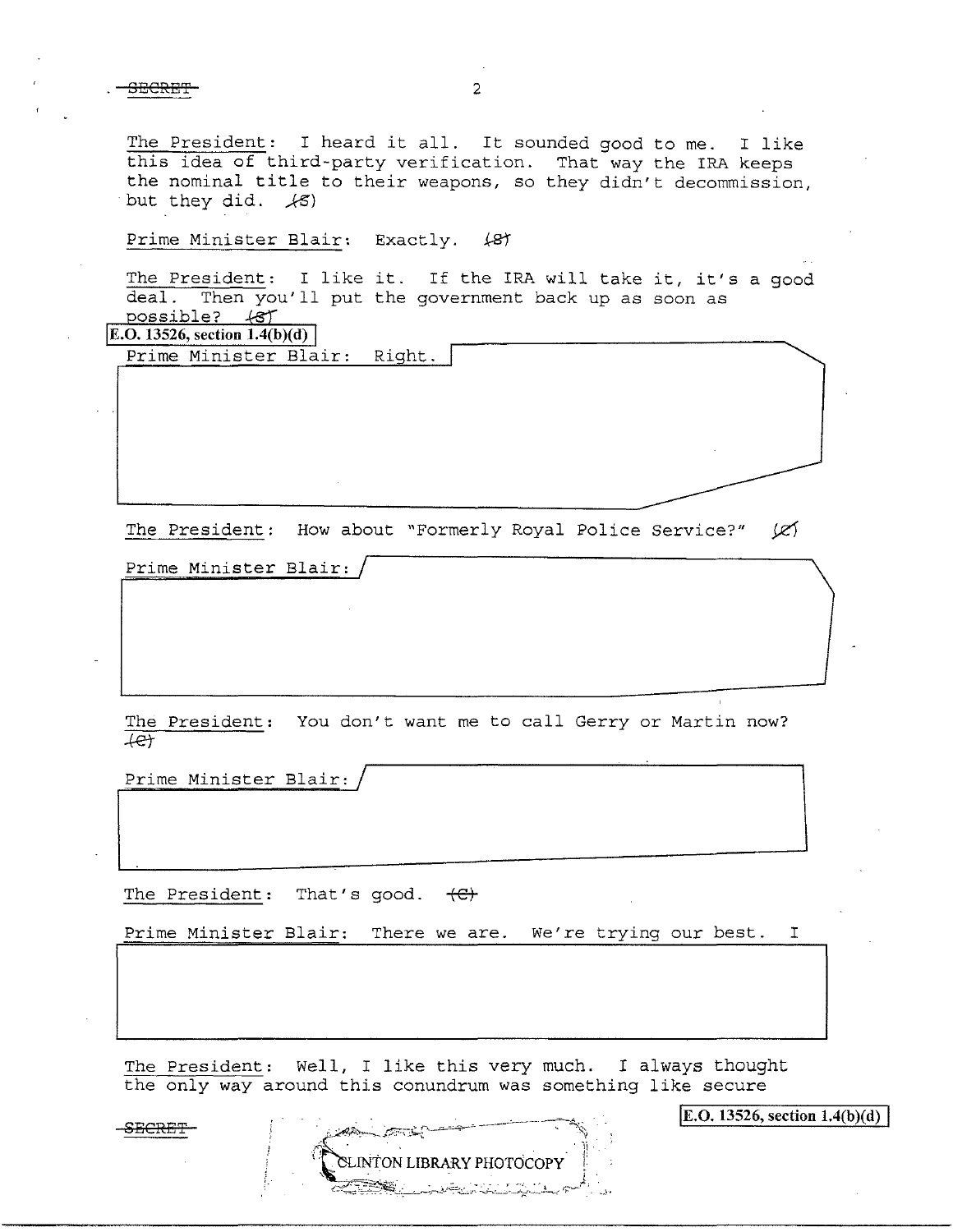The President: I heard it all. It sounded good to me. I like this idea of third-party verification. That way the IRA keeps the nominal title to their weapons, so they didn't decommission, but they did.  $\angle$ 5)

Prime Minister Blair: Exactly. (87

The President: I like it. If the IRA will take it, it's a good deal. Then you'll put the government back up as soon as Then you'll put the government back up as soon as possible? 48T

**E.O. 13526, section**  $1.4(b)(d)$ 

Prime Minister Blair: Right.

The President: How about "Formerly Royal Police Service?" (Z)

Prime Minister Blair:

The President: You don't want me to call Gerry or Martin now?  $+e$ 

Prime Minister Blair:

The President: That's good.  $\left\langle \right\rangle$ 

Prime Minister Blair: There we are. We're trying our best. I

The President: Well, I like this very much. I always thought the only way around this conundrum was something like secure

TON LIBRARY PHOTOCOPY

SECRET

E.O. 13526, section  $1.4(b)(d)$